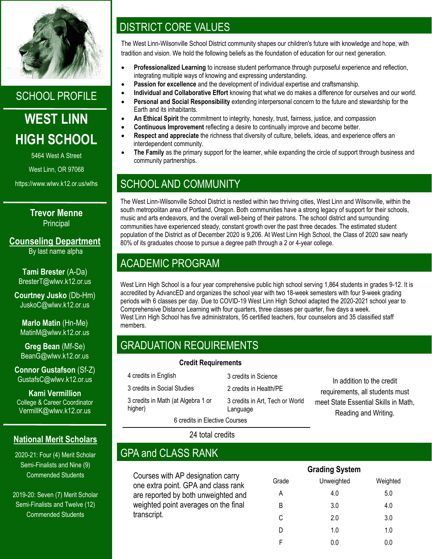

SCHOOL PROFILE

# **WEST LINN HIGH SCHOOL**

5464 West A Street

West Linn, OR 97068

https://www.wlwv.k12.or.us/wlhs

**Trevor Menne Principal** 

**Counseling Department** By last name alpha

**Tami Brester** (A-Da) BresterT@wlwv.k12.or.us

**Courtney Jusko** (Db-Hm) JuskoC@wlwv.k12.or.us

**Marlo Matin** (Hn-Me) MatinM@wlwv.k12.or.us

**Greg Bean** (Mf-Se) BeanG@wlwv.k12.or.us

**Connor Gustafson** (Sf-Z) GustafsC@wlwv.k12.or.us

**Kami Vermillion** College & Career Coordinator VermillK@wlwv.k12.or.us

### **National Merit Scholars**

2020-21: Four (4) Merit Scholar Semi-Finalists and Nine (9) Commended Students

2019-20: Seven (7) Merit Scholar Semi-Finalists and Twelve (12) Commended Students

# DISTRICT CORE VALUES

The West Linn-Wilsonville School District community shapes our children's future with knowledge and hope, with tradition and vision. We hold the following beliefs as the foundation of education for our next generation.

- **Professionalized Learning** to increase student performance through purposeful experience and reflection, integrating multiple ways of knowing and expressing understanding.
- **Passion for excellence** and the development of individual expertise and craftsmanship.
- **Individual and Collaborative Effort** knowing that what we do makes a difference for ourselves and our world.
- **Personal and Social Responsibility** extending interpersonal concern to the future and stewardship for the Earth and its inhabitants.
- **An Ethical Spirit** the commitment to integrity, honesty, trust, fairness, justice, and compassion
- **Continuous Improvement** reflecting a desire to continually improve and become better.
- **Respect and appreciate** the richness that diversity of culture, beliefs, ideas, and experience offers an interdependent community.
- **The Family** as the primary support for the learner, while expanding the circle of support through business and community partnerships.

## SCHOOL AND COMMUNITY

The West Linn-Wilsonville School District is nestled within two thriving cities, West Linn and Wilsonville, within the south metropolitan area of Portland, Oregon. Both communities have a strong legacy of support for their schools, music and arts endeavors, and the overall well-being of their patrons. The school district and surrounding communities have experienced steady, constant growth over the past three decades. The estimated student population of the District as of December 2020 is 9,206. At West Linn High School, the Class of 2020 saw nearly 80% of its graduates choose to pursue a degree path through a 2 or 4-year college.

# ACADEMIC PROGRAM

West Linn High School is a four year comprehensive public high school serving 1,864 students in grades 9-12. It is accredited by AdvancED and organizes the school year with two 18-week semesters with four 9-week grading periods with 6 classes per day. Due to COVID-19 West Linn High School adapted the 2020-2021 school year to Comprehensive Distance Learning with four quarters, three classes per quarter, five days a week. West Linn High School has five administrators, 95 certified teachers, four counselors and 35 classified staff members.

# GRADUATION REQUIREMENTS

#### **Credit Requirements**

4 credits in English 3 credits in Social Studies 3 credits in Math (at Algebra 1 or higher)

3 credits in Science 2 credits in Health/PE 3 credits in Art, Tech or World Language

In addition to the credit requirements, all students must meet State Essential Skills in Math, Reading and Writing.

24 total credits

6 credits in Elective Courses

## GPA and CLASS RANK

Courses with AP designation carry one extra point. GPA and class rank are reported by both unweighted and weighted point averages on the final transcript.

| <b>Grading System</b> |            |          |  |  |  |  |  |
|-----------------------|------------|----------|--|--|--|--|--|
| Grade                 | Unweighted | Weighted |  |  |  |  |  |
| A                     | 4.0        | 5.0      |  |  |  |  |  |
| B                     | 3.0        | 4.0      |  |  |  |  |  |
| C                     | 2.0        | 3.0      |  |  |  |  |  |
| D                     | 1.0        | 1.0      |  |  |  |  |  |
| F                     | 0.0        | 0.0      |  |  |  |  |  |